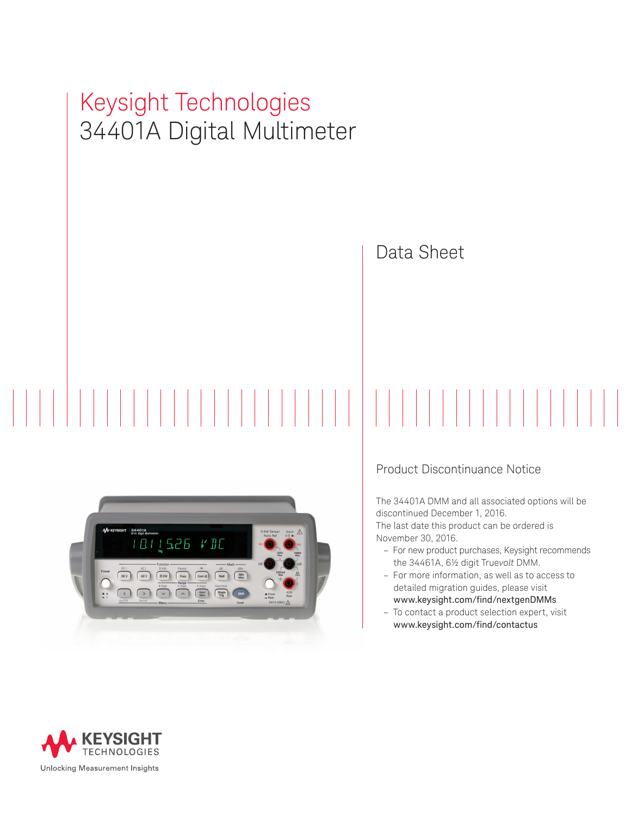# Keysight Technologies 34401A Digital Multimeter



# Data Sheet

## Product Discontinuance Notice

The 34401A DMM and all associated options will be discontinued December 1, 2016.

The last date this product can be ordered is November 30, 2016.

- For new product purchases, Keysight recommends the 34461A, 6½ digit True*volt* DMM.
- For more information, as well as to access to detailed migration guides, please visit [www.keysight.com/find/nextgenDMMs](http://www.keysight.com/find/nextgenDMMs)
- To contact a product selection expert, visit www.keysight.com/find/contactus

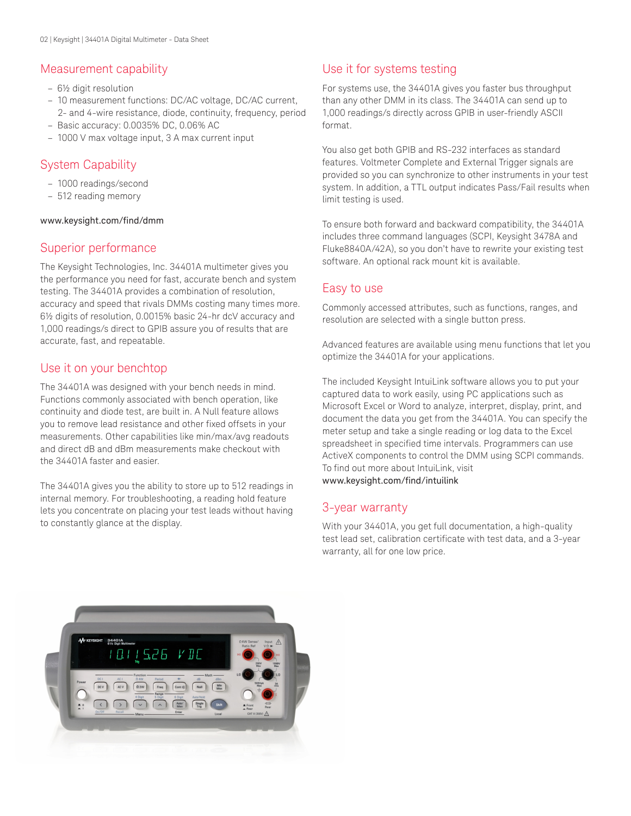# Measurement capability

- 6½ digit resolution
- 10 measurement functions: DC/AC voltage, DC/AC current, 2- and 4-wire resistance, diode, continuity, frequency, period
- Basic accuracy: 0.0035% DC, 0.06% AC
- 1000 V max voltage input, 3 A max current input

# System Capability

- 1000 readings/second
- 512 reading memory

### [www.keysight.com/find/dmm](http://www.keysight.com/find/dmm)

# Superior performance

The Keysight Technologies, Inc. 34401A multimeter gives you the performance you need for fast, accurate bench and system testing. The 34401A provides a combination of resolution, accuracy and speed that rivals DMMs costing many times more. 6½ digits of resolution, 0.0015% basic 24-hr dcV accuracy and 1,000 readings/s direct to GPIB assure you of results that are accurate, fast, and repeatable.

# Use it on your benchtop

The 34401A was designed with your bench needs in mind. Functions commonly associated with bench operation, like continuity and diode test, are built in. A Null feature allows you to remove lead resistance and other fixed offsets in your measurements. Other capabilities like min/max/avg readouts and direct dB and dBm measurements make checkout with the 34401A faster and easier.

The 34401A gives you the ability to store up to 512 readings in internal memory. For troubleshooting, a reading hold feature lets you concentrate on placing your test leads without having to constantly glance at the display.

# Use it for systems testing

For systems use, the 34401A gives you faster bus throughput than any other DMM in its class. The 34401A can send up to 1,000 readings/s directly across GPIB in user-friendly ASCII format.

You also get both GPIB and RS-232 interfaces as standard features. Voltmeter Complete and External Trigger signals are provided so you can synchronize to other instruments in your test system. In addition, a TTL output indicates Pass/Fail results when limit testing is used.

To ensure both forward and backward compatibility, the 34401A includes three command languages (SCPI, Keysight 3478A and Fluke8840A/42A), so you don't have to rewrite your existing test software. An optional rack mount kit is available.

# Easy to use

Commonly accessed attributes, such as functions, ranges, and resolution are selected with a single button press.

Advanced features are available using menu functions that let you optimize the 34401A for your applications.

The included Keysight IntuiLink software allows you to put your captured data to work easily, using PC applications such as Microsoft Excel or Word to analyze, interpret, display, print, and document the data you get from the 34401A. You can specify the meter setup and take a single reading or log data to the Excel spreadsheet in specified time intervals. Programmers can use ActiveX components to control the DMM using SCPI commands. To find out more about IntuiLink, visit [www.keysight.com/find/intuilink](http://www.keysight.com/find/intuilink)

## 3-year warranty

With your 34401A, you get full documentation, a high-quality test lead set, calibration certificate with test data, and a 3-year warranty, all for one low price.

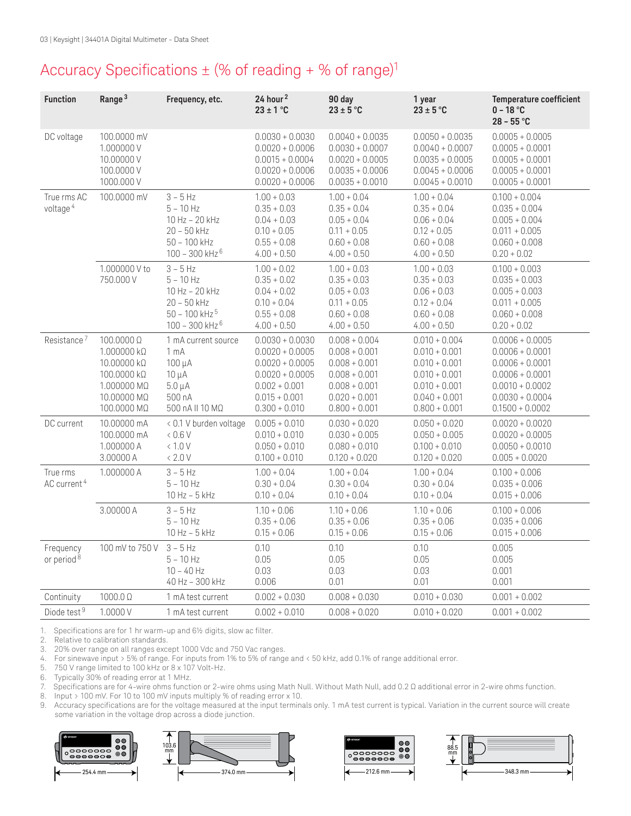# Accuracy Specifications  $\pm$  (% of reading + % of range)<sup>1</sup>

| <b>Function</b>                     | Range <sup>3</sup>                                                                                     | Frequency, etc.                                                                                                 | 24 hour <sup>2</sup><br>$23 \pm 1$ °C                                                                                                     | 90 day<br>$23 \pm 5$ °C                                                                                                           | 1 year<br>$23 \pm 5$ °C                                                                                                           | <b>Temperature coefficient</b><br>$0 - 18 °C$<br>$28 - 55 °C$                                                                                   |
|-------------------------------------|--------------------------------------------------------------------------------------------------------|-----------------------------------------------------------------------------------------------------------------|-------------------------------------------------------------------------------------------------------------------------------------------|-----------------------------------------------------------------------------------------------------------------------------------|-----------------------------------------------------------------------------------------------------------------------------------|-------------------------------------------------------------------------------------------------------------------------------------------------|
| DC voltage                          | 100.0000 mV<br>1.000000V<br>10.00000V<br>100.0000 V<br>1000.000 V                                      |                                                                                                                 | $0.0030 + 0.0030$<br>$0.0020 + 0.0006$<br>$0.0015 + 0.0004$<br>$0.0020 + 0.0006$<br>$0.0020 + 0.0006$                                     | $0.0040 + 0.0035$<br>$0.0030 + 0.0007$<br>$0.0020 + 0.0005$<br>$0.0035 + 0.0006$<br>$0.0035 + 0.0010$                             | $0.0050 + 0.0035$<br>$0.0040 + 0.0007$<br>$0.0035 + 0.0005$<br>$0.0045 + 0.0006$<br>$0.0045 + 0.0010$                             | $0.0005 + 0.0005$<br>$0.0005 + 0.0001$<br>$0.0005 + 0.0001$<br>$0.0005 + 0.0001$<br>$0.0005 + 0.0001$                                           |
| True rms AC<br>voltage <sup>4</sup> | 100.0000 mV                                                                                            | $3 - 5$ Hz<br>$5 - 10$ Hz<br>10 Hz - 20 kHz<br>$20 - 50$ kHz<br>$50 - 100$ kHz<br>$100 - 300$ kHz $^6$          | $1.00 + 0.03$<br>$0.35 + 0.03$<br>$0.04 + 0.03$<br>$0.10 + 0.05$<br>$0.55 + 0.08$<br>$4.00 + 0.50$                                        | $1.00 + 0.04$<br>$0.35 + 0.04$<br>$0.05 + 0.04$<br>$0.11 + 0.05$<br>$0.60 + 0.08$<br>$4.00 + 0.50$                                | $1.00 + 0.04$<br>$0.35 + 0.04$<br>$0.06 + 0.04$<br>$0.12 + 0.05$<br>$0.60 + 0.08$<br>$4.00 + 0.50$                                | $0.100 + 0.004$<br>$0.035 + 0.004$<br>$0.005 + 0.004$<br>$0.011 + 0.005$<br>$0.060 + 0.008$<br>$0.20 + 0.02$                                    |
|                                     | 1.000000 V to<br>750.000 V                                                                             | $3 - 5$ Hz<br>$5 - 10$ Hz<br>10 Hz - 20 kHz<br>$20 - 50$ kHz<br>$50 - 100$ kHz $5$<br>$100 - 300$ kHz $^6$      | $1.00 + 0.02$<br>$0.35 + 0.02$<br>$0.04 + 0.02$<br>$0.10 + 0.04$<br>$0.55 + 0.08$<br>$4.00 + 0.50$                                        | $1.00 + 0.03$<br>$0.35 + 0.03$<br>$0.05 + 0.03$<br>$0.11 + 0.05$<br>$0.60 + 0.08$<br>$4.00 + 0.50$                                | $1.00 + 0.03$<br>$0.35 + 0.03$<br>$0.06 + 0.03$<br>$0.12 + 0.04$<br>$0.60 + 0.08$<br>$4.00 + 0.50$                                | $0.100 + 0.003$<br>$0.035 + 0.003$<br>$0.005 + 0.003$<br>$0.011 + 0.005$<br>$0.060 + 0.008$<br>$0.20 + 0.02$                                    |
| Resistance <sup>7</sup>             | $100.0000$ Ω<br>1.000000 kΩ<br>10.00000 kΩ<br>100.0000 kΩ<br>1.000000 MΩ<br>10.00000 MΩ<br>100.0000 MΩ | 1 mA current source<br>1 <sub>mA</sub><br>$100 \mu A$<br>$10 \mu A$<br>$5.0 \mu A$<br>500 nA<br>500 nA II 10 MΩ | $0.0030 + 0.0030$<br>$0.0020 + 0.0005$<br>$0.0020 + 0.0005$<br>$0.0020 + 0.0005$<br>$0.002 + 0.001$<br>$0.015 + 0.001$<br>$0.300 + 0.010$ | $0.008 + 0.004$<br>$0.008 + 0.001$<br>$0.008 + 0.001$<br>$0.008 + 0.001$<br>$0.008 + 0.001$<br>$0.020 + 0.001$<br>$0.800 + 0.001$ | $0.010 + 0.004$<br>$0.010 + 0.001$<br>$0.010 + 0.001$<br>$0.010 + 0.001$<br>$0.010 + 0.001$<br>$0.040 + 0.001$<br>$0.800 + 0.001$ | $0.0006 + 0.0005$<br>$0.0006 + 0.0001$<br>$0.0006 + 0.0001$<br>$0.0006 + 0.0001$<br>$0.0010 + 0.0002$<br>$0.0030 + 0.0004$<br>$0.1500 + 0.0002$ |
| DC current                          | 10.00000 mA<br>100.0000 mA<br>1.000000 A<br>3.00000 A                                                  | < 0.1 V burden voltage<br>0.6V<br>< 1.0 V<br>< 2.0 V                                                            | $0.005 + 0.010$<br>$0.010 + 0.010$<br>$0.050 + 0.010$<br>$0.100 + 0.010$                                                                  | $0.030 + 0.020$<br>$0.030 + 0.005$<br>$0.080 + 0.010$<br>$0.120 + 0.020$                                                          | $0.050 + 0.020$<br>$0.050 + 0.005$<br>$0.100 + 0.010$<br>$0.120 + 0.020$                                                          | $0.0020 + 0.0020$<br>$0.0020 + 0.0005$<br>$0.0050 + 0.0010$<br>$0.005 + 0.0020$                                                                 |
| True rms<br>AC current <sup>4</sup> | 1.000000 A                                                                                             | $3 - 5$ Hz<br>$5 - 10$ Hz<br>10 Hz - 5 kHz                                                                      | $1.00 + 0.04$<br>$0.30 + 0.04$<br>$0.10 + 0.04$                                                                                           | $1.00 + 0.04$<br>$0.30 + 0.04$<br>$0.10 + 0.04$                                                                                   | $1.00 + 0.04$<br>$0.30 + 0.04$<br>$0.10 + 0.04$                                                                                   | $0.100 + 0.006$<br>$0.035 + 0.006$<br>$0.015 + 0.006$                                                                                           |
|                                     | 3.00000 A                                                                                              | $3 - 5$ Hz<br>$5 - 10$ Hz<br>$10$ Hz $-5$ kHz                                                                   | $1.10 + 0.06$<br>$0.35 + 0.06$<br>$0.15 + 0.06$                                                                                           | $1.10 + 0.06$<br>$0.35 + 0.06$<br>$0.15 + 0.06$                                                                                   | $1.10 + 0.06$<br>$0.35 + 0.06$<br>$0.15 + 0.06$                                                                                   | $0.100 + 0.006$<br>$0.035 + 0.006$<br>$0.015 + 0.006$                                                                                           |
| Frequency<br>or period <sup>8</sup> | 100 mV to 750 V                                                                                        | $3 - 5$ Hz<br>$5 - 10$ Hz<br>$10 - 40$ Hz<br>40 Hz - 300 kHz                                                    | 0.10<br>0.05<br>0.03<br>0.006                                                                                                             | 0.10<br>0.05<br>0.03<br>0.01                                                                                                      | 0.10<br>0.05<br>0.03<br>0.01                                                                                                      | 0.005<br>0.005<br>0.001<br>0.001                                                                                                                |
| Continuity                          | $1000.0\ \Omega$                                                                                       | 1 mA test current                                                                                               | $0.002 + 0.030$                                                                                                                           | $0.008 + 0.030$                                                                                                                   | $0.010 + 0.030$                                                                                                                   | $0.001 + 0.002$                                                                                                                                 |
| Diode test <sup>9</sup>             | 1.0000V                                                                                                | 1 mA test current                                                                                               | $0.002 + 0.010$                                                                                                                           | $0.008 + 0.020$                                                                                                                   | $0.010 + 0.020$                                                                                                                   | $0.001 + 0.002$                                                                                                                                 |

1. Specifications are for 1 hr warm-up and 6½ digits, slow ac filter.<br>2. Relative to calibration standards.

2. Relative to calibration standards.<br>3. 20% over range on all ranges exce

3. 20% over range on all ranges except 1000 Vdc and 750 Vac ranges.<br>4. For sinewave input > 5% of range. For inputs from 1% to 5% of range

4. For sinewave input > 5% of range. For inputs from 1% to 5% of range and < 50 kHz, add 0.1% of range additional error.

5. 750 V range limited to 100 kHz or 8 x 107 Volt-Hz.

6. Typically 30% of reading error at 1 MHz.

7. Specifications are for 4-wire ohms function or 2-wire ohms using Math Null. Without Math Null, add 0.2 Ω additional error in 2-wire ohms function.<br>8. Japyt > 100 mV For 10 to 100 mV ipoute multiply % of reeding error y

8. Input > 100 mV. For 10 to 100 mV inputs multiply % of reading error x 10.<br>9. Accuracy specifications are for the voltage measured at the input terminal Accuracy specifications are for the voltage measured at the input terminals only. 1 mA test current is typical. Variation in the current source will create some variation in the voltage drop across a diode junction.







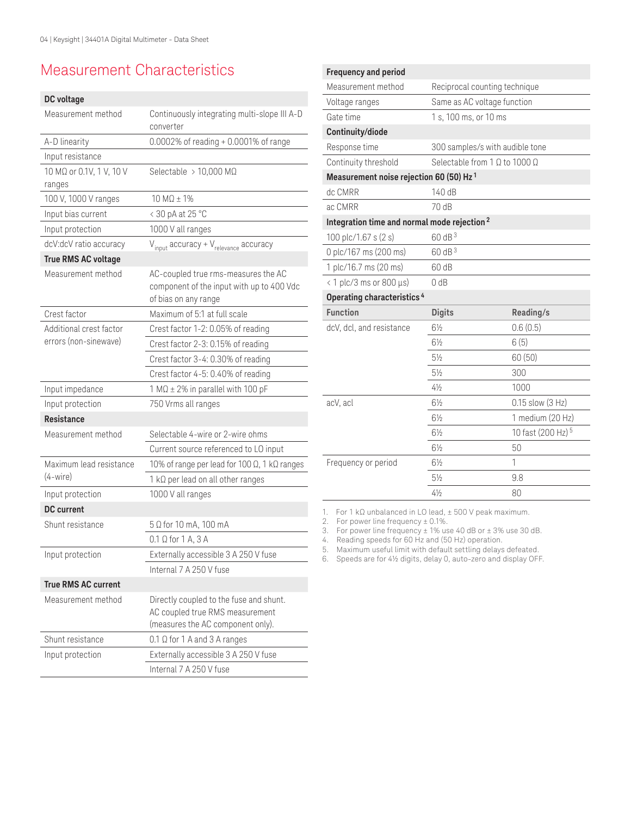# Measurement Characteristics

## **DC voltage**

| Measurement method                 | Continuously integrating multi-slope III A-D<br>converter                                                       |
|------------------------------------|-----------------------------------------------------------------------------------------------------------------|
| A-D linearity                      | 0.0002% of reading + 0.0001% of range                                                                           |
| Input resistance                   |                                                                                                                 |
| 10 MΩ or 0.1V, 1 V, 10 V<br>ranges | Selectable > 10,000 M $\Omega$                                                                                  |
| 100 V, 1000 V ranges               | $10 \text{ M}\Omega \pm 1\%$                                                                                    |
| Input bias current                 | < 30 pA at 25 °C                                                                                                |
| Input protection                   | 1000 V all ranges                                                                                               |
| dcV:dcV ratio accuracy             | $V_{input}$ accuracy + $V_{relevance}$ accuracy                                                                 |
| <b>True RMS AC voltage</b>         |                                                                                                                 |
| Measurement method                 | AC-coupled true rms-measures the AC<br>component of the input with up to 400 Vdc<br>of bias on any range        |
| Crest factor                       | Maximum of 5:1 at full scale                                                                                    |
| Additional crest factor            | Crest factor 1-2: 0.05% of reading                                                                              |
| errors (non-sinewave)              | Crest factor 2-3: 0.15% of reading                                                                              |
|                                    | Crest factor 3-4: 0.30% of reading                                                                              |
|                                    | Crest factor 4-5: 0.40% of reading                                                                              |
| Input impedance                    | 1 M $\Omega$ ± 2% in parallel with 100 pF                                                                       |
| Input protection                   | 750 Vrms all ranges                                                                                             |
| <b>Resistance</b>                  |                                                                                                                 |
| Measurement method                 | Selectable 4-wire or 2-wire ohms                                                                                |
|                                    | Current source referenced to LO input                                                                           |
| Maximum lead resistance            | 10% of range per lead for 100 Ω, 1 kΩ ranges                                                                    |
| $(4-wire)$                         | $1 k\Omega$ per lead on all other ranges                                                                        |
| Input protection                   | 1000 V all ranges                                                                                               |
| <b>DC</b> current                  |                                                                                                                 |
| Shunt resistance                   | 5 Ω for 10 mA, 100 mA                                                                                           |
|                                    | $0.1 \Omega$ for 1 A, 3 A                                                                                       |
| Input protection                   | Externally accessible 3 A 250 V fuse                                                                            |
|                                    | Internal 7 A 250 V fuse                                                                                         |
| <b>True RMS AC current</b>         |                                                                                                                 |
| Measurement method                 | Directly coupled to the fuse and shunt.<br>AC coupled true RMS measurement<br>(measures the AC component only). |
| Shunt resistance                   | $0.1 \Omega$ for 1 A and 3 A ranges                                                                             |
| Input protection                   | Externally accessible 3 A 250 V fuse                                                                            |
|                                    | Internal 7 A 250 V fuse                                                                                         |

| <b>Frequency and period</b>                             |                                             |                               |
|---------------------------------------------------------|---------------------------------------------|-------------------------------|
| Measurement method                                      | Reciprocal counting technique               |                               |
| Voltage ranges                                          | Same as AC voltage function                 |                               |
| Gate time                                               | 1 s, 100 ms, or 10 ms                       |                               |
| Continuity/diode                                        |                                             |                               |
| Response time                                           | 300 samples/s with audible tone             |                               |
| Continuity threshold                                    | Selectable from 1 $\Omega$ to 1000 $\Omega$ |                               |
| Measurement noise rejection 60 (50) Hz <sup>1</sup>     |                                             |                               |
| dc CMRR                                                 | 140 dB                                      |                               |
| ac CMRR                                                 | 70 dB                                       |                               |
| Integration time and normal mode rejection <sup>2</sup> |                                             |                               |
| 100 plc/1.67 s (2 s)                                    | 60 dB <sup>3</sup>                          |                               |
| 0 plc/167 ms (200 ms)                                   | 60 dB <sup>3</sup>                          |                               |
| 1 plc/16.7 ms (20 ms)                                   | 60 dB                                       |                               |
| $\langle$ 1 plc/3 ms or 800 $\mu$ s)                    | 0 dB                                        |                               |
| Operating characteristics <sup>4</sup>                  |                                             |                               |
| <b>Function</b>                                         | <b>Digits</b>                               | Reading/s                     |
| dcV, dcl, and resistance                                | $6\frac{1}{2}$                              | 0.6(0.5)                      |
|                                                         | $6\frac{1}{2}$                              | 6(5)                          |
|                                                         | $5\frac{1}{2}$                              | 60 (50)                       |
|                                                         | $5\frac{1}{2}$                              | 300                           |
|                                                         | $4\frac{1}{2}$                              | 1000                          |
| acV, acl                                                | $6\frac{1}{2}$                              | 0.15 slow (3 Hz)              |
|                                                         | $6\frac{1}{2}$                              | 1 medium (20 Hz)              |
|                                                         | $6\frac{1}{2}$                              | 10 fast (200 Hz) <sup>5</sup> |
|                                                         | $6\frac{1}{2}$                              | 50                            |
| Frequency or period                                     | $6\frac{1}{2}$                              | 1                             |
|                                                         | $5\frac{1}{2}$                              | 9.8                           |
|                                                         | $4\frac{1}{2}$                              | 80                            |

1. For 1 kΩ unbalanced in LO lead, ± 500 V peak maximum.

2. For power line frequency ± 0.1%.

3. For power line frequency ± 1% use 40 dB or ± 3% use 30 dB.

4. Reading speeds for 60 Hz and (50 Hz) operation.

5. Maximum useful limit with default settling delays defeated.

6. Speeds are for 4½ digits, delay 0, auto-zero and display OFF.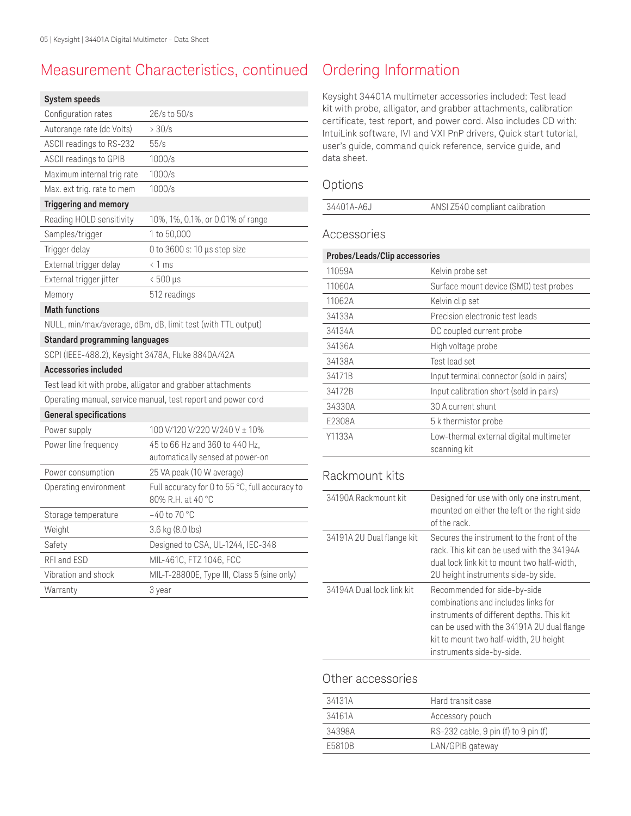# Measurement Characteristics, continued

#### **System speeds**

| Configuration rates                                          | 26/s to 50/s                                                        |  |
|--------------------------------------------------------------|---------------------------------------------------------------------|--|
| Autorange rate (dc Volts)                                    | >30/s                                                               |  |
| ASCII readings to RS-232                                     | 55/s                                                                |  |
| ASCII readings to GPIB                                       | 1000/s                                                              |  |
| Maximum internal trig rate                                   | 1000/s                                                              |  |
| Max. ext trig. rate to mem                                   | 1000/s                                                              |  |
| <b>Triggering and memory</b>                                 |                                                                     |  |
| Reading HOLD sensitivity                                     | 10%, 1%, 0.1%, or 0.01% of range                                    |  |
| Samples/trigger                                              | 1 to 50,000                                                         |  |
| Trigger delay                                                | 0 to 3600 s: 10 µs step size                                        |  |
| External trigger delay                                       | < 1 ms                                                              |  |
| External trigger jitter                                      | $< 500 \,\mu s$                                                     |  |
| Memory                                                       | 512 readings                                                        |  |
| <b>Math functions</b>                                        |                                                                     |  |
| NULL, min/max/average, dBm, dB, limit test (with TTL output) |                                                                     |  |
| <b>Standard programming languages</b>                        |                                                                     |  |
| SCPI (IEEE-488.2), Keysight 3478A, Fluke 8840A/42A           |                                                                     |  |
| <b>Accessories included</b>                                  |                                                                     |  |
|                                                              | Test lead kit with probe, alligator and grabber attachments         |  |
|                                                              | Operating manual, service manual, test report and power cord        |  |
| <b>General specifications</b>                                |                                                                     |  |
| Power supply                                                 | 100 V/120 V/220 V/240 V ± 10%                                       |  |
| Power line frequency                                         | 45 to 66 Hz and 360 to 440 Hz,                                      |  |
|                                                              | automatically sensed at power-on                                    |  |
| Power consumption                                            | 25 VA peak (10 W average)                                           |  |
| Operating environment                                        | Full accuracy for 0 to 55 °C, full accuracy to<br>80% R.H. at 40 °C |  |
| Storage temperature                                          |                                                                     |  |
|                                                              | $-40$ to 70 °C                                                      |  |
| Weight                                                       | 3.6 kg (8.0 lbs)                                                    |  |
| Safety                                                       | Designed to CSA, UL-1244, IEC-348                                   |  |
| RFI and ESD                                                  | MIL-461C, FTZ 1046, FCC                                             |  |
| Vibration and shock                                          | MIL-T-28800E, Type III, Class 5 (sine only)                         |  |

# Ordering Information

Keysight 34401A multimeter accessories included: Test lead kit with probe, alligator, and grabber attachments, calibration certificate, test report, and power cord. Also includes CD with: IntuiLink software, IVI and VXI PnP drivers, Quick start tutorial, user's guide, command quick reference, service guide, and data sheet.

## Options

| 34401A-A6J | ANSI Z540 compliant calibration |
|------------|---------------------------------|
|            |                                 |

## Accessories

| Probes/Leads/Clip accessories |                                                         |  |
|-------------------------------|---------------------------------------------------------|--|
| 11059A                        | Kelvin probe set                                        |  |
| 11060A                        | Surface mount device (SMD) test probes                  |  |
| 11062A                        | Kelvin clip set                                         |  |
| 34133A                        | Precision electronic test leads                         |  |
| 34134A                        | DC coupled current probe                                |  |
| 34136A                        | High voltage probe                                      |  |
| 34138A                        | Test lead set                                           |  |
| 34171B                        | Input terminal connector (sold in pairs)                |  |
| 34172B                        | Input calibration short (sold in pairs)                 |  |
| 34330A                        | 30 A current shunt                                      |  |
| E2308A                        | 5 k thermistor probe                                    |  |
| Y1133A                        | Low-thermal external digital multimeter<br>scanning kit |  |

# Rackmount kits

| 34190A Rackmount kit      | Designed for use with only one instrument,<br>mounted on either the left or the right side<br>of the rack                                                                                                                             |
|---------------------------|---------------------------------------------------------------------------------------------------------------------------------------------------------------------------------------------------------------------------------------|
| 34191A 2U Dual flange kit | Secures the instrument to the front of the<br>rack. This kit can be used with the 34194A<br>dual lock link kit to mount two half-width,<br>2U height instruments side-by side.                                                        |
| 34194A Dual lock link kit | Recommended for side-by-side<br>combinations and includes links for<br>instruments of different depths. This kit<br>can be used with the 34191A 2U dual flange<br>kit to mount two half-width, 2U height<br>instruments side-by-side. |

## Other accessories

| 34131A | Hard transit case                      |
|--------|----------------------------------------|
| 34161A | Accessory pouch                        |
| 34398A | $RS-232$ cable, 9 pin (f) to 9 pin (f) |
| F5810B | LAN/GPIB gateway                       |